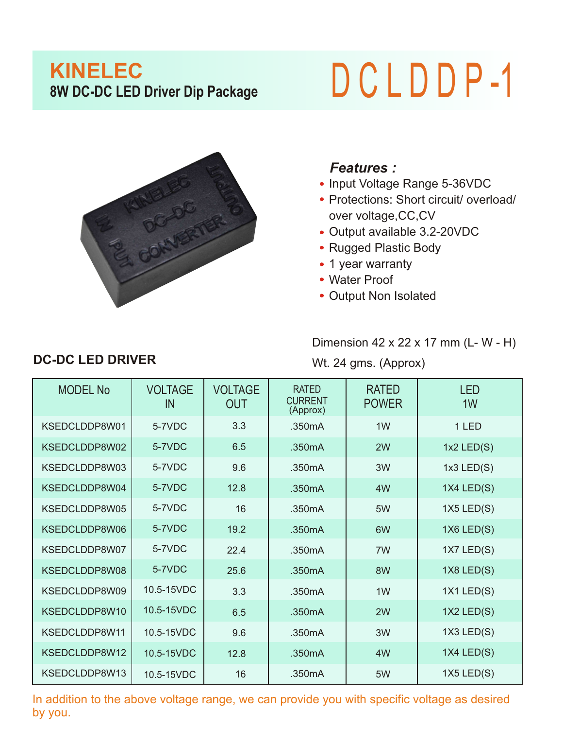## **KINELEC**<br>8W DC-DC LED Driver Dip Package

## **8W DC-DC LED Driver Dip Package** D C L D D P -1



## *Features :*

- Input Voltage Range 5-36VDC
- Protections: Short circuit/ overload/ over voltage,CC,CV
- Output available 3.2-20VDC
- Rugged Plastic Body
- 1 year warranty
- Water Proof
- Output Non Isolated

Dimension 42 x 22 x 17 mm (L- W - H)

Wt. 24 gms. (Approx)

| <b>MODEL No</b> | <b>VOLTAGE</b><br>IN | <b>VOLTAGE</b><br><b>OUT</b> | <b>RATED</b><br><b>CURRENT</b><br>(Approx) | <b>RATED</b><br><b>POWER</b> | <b>LED</b><br>1W |
|-----------------|----------------------|------------------------------|--------------------------------------------|------------------------------|------------------|
| KSEDCLDDP8W01   | 5-7VDC               | 3.3                          | .350mA                                     | 1 <sub>W</sub>               | 1 LED            |
| KSEDCLDDP8W02   | 5-7VDC               | 6.5                          | .350mA                                     | 2W                           | $1x2$ LED $(S)$  |
| KSEDCLDDP8W03   | 5-7VDC               | 9.6                          | .350mA                                     | 3W                           | $1x3$ LED $(S)$  |
| KSEDCLDDP8W04   | 5-7VDC               | 12.8                         | .350mA                                     | 4W                           | $1X4$ LED $(S)$  |
| KSEDCLDDP8W05   | 5-7VDC               | 16                           | .350mA                                     | 5W                           | $1X5$ LED $(S)$  |
| KSEDCLDDP8W06   | 5-7VDC               | 19.2                         | .350mA                                     | 6W                           | $1X6$ LED $(S)$  |
| KSEDCLDDP8W07   | 5-7VDC               | 22.4                         | .350mA                                     | 7W                           | $1X7$ LED $(S)$  |
| KSEDCLDDP8W08   | 5-7VDC               | 25.6                         | .350mA                                     | 8W                           | $1X8$ LED $(S)$  |
| KSEDCLDDP8W09   | 10.5-15VDC           | 3.3                          | .350mA                                     | 1 <sub>W</sub>               | $1X1$ LED $(S)$  |
| KSEDCLDDP8W10   | 10.5-15VDC           | 6.5                          | .350mA                                     | 2W                           | $1X2$ LED $(S)$  |
| KSEDCLDDP8W11   | 10.5-15VDC           | 9.6                          | .350mA                                     | 3W                           | $1X3$ LED $(S)$  |
| KSEDCLDDP8W12   | 10.5-15VDC           | 12.8                         | .350mA                                     | 4W                           | $1X4$ LED $(S)$  |
| KSEDCLDDP8W13   | 10.5-15VDC           | 16                           | .350mA                                     | 5W                           | $1X5$ LED $(S)$  |

In addition to the above voltage range, we can provide you with specific voltage as desired by you.

## **DC-DC LED DRIVER**